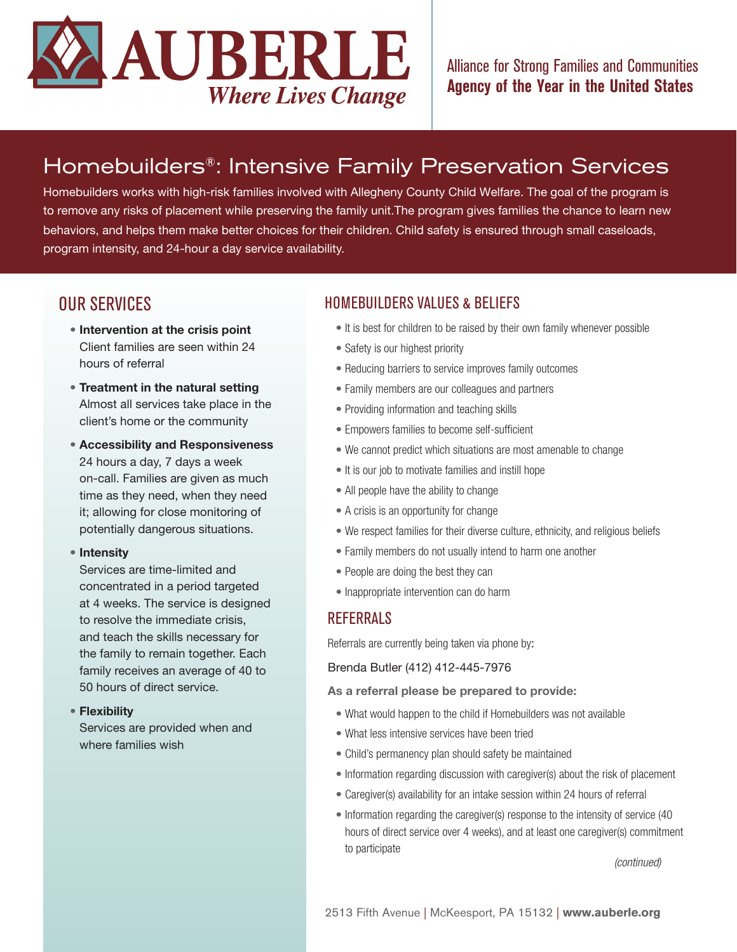

## Homebuilders®: Intensive Family Preservation Services

Homebuilders works with high-risk families involved with Allegheny County Child Welfare. The goal of the program is to remove any risks of placement while preserving the family unit.The program gives families the chance to learn new behaviors, and helps them make better choices for their children. Child safety is ensured through small caseloads, program intensity, and 24-hour a day service availability.

## OUR SERVICES

- **Intervention at the crisis point** Client families are seen within 24 hours of referral
- **Treatment in the natural setting** Almost all services take place in the client's home or the community
- **Accessibility and Responsiveness** 24 hours a day, 7 days a week on-call. Families are given as much time as they need, when they need it; allowing for close monitoring of potentially dangerous situations.
- **Intensity**

Services are time-limited and concentrated in a period targeted at 4 weeks. The service is designed to resolve the immediate crisis, and teach the skills necessary for the family to remain together. Each family receives an average of 40 to 50 hours of direct service.

• **Flexibility**

Services are provided when and where families wish

## HOMEBUILDERS VALUES & BELIEFS

- It is best for children to be raised by their own family whenever possible
- Safety is our highest priority
- Reducing barriers to service improves family outcomes
- Family members are our colleagues and partners
- Providing information and teaching skills
- Empowers families to become self-sufficient
- We cannot predict which situations are most amenable to change
- It is our job to motivate families and instill hope
- All people have the ability to change
- A crisis is an opportunity for change
- We respect families for their diverse culture, ethnicity, and religious beliefs
- Family members do not usually intend to harm one another
- People are doing the best they can
- Inappropriate intervention can do harm

## REFERRALS

Referrals are currently being taken via phone by:

Brenda Butler (412) 412-445-7976

**As a referral please be prepared to provide:**

- What would happen to the child if Homebuilders was not available
- What less intensive services have been tried
- Child's permanency plan should safety be maintained
- Information regarding discussion with caregiver(s) about the risk of placement
- Caregiver(s) availability for an intake session within 24 hours of referral
- Information regarding the caregiver(s) response to the intensity of service (40 hours of direct service over 4 weeks), and at least one caregiver(s) commitment to participate

*(continued)*